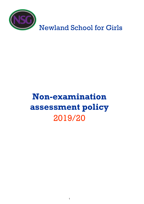

# **Non-examination assessment policy** 2019/20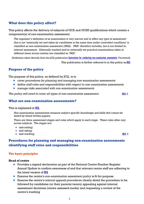## **What does this policy affect?**

This policy affects the delivery of subjects of GCE and GCSE qualifications which contain a component(s) of non-examination assessment.

*The regulator's definition of an examination is very narrow and in effect any type of assessment that is not 'externally set and taken by candidates at the same time under controlled conditions' is classified as non-examination assessment (NEA). 'NEA' therefore includes, but is not limited to, internal assessment. Externally marked and/or externally set practical examinations taken at different times across centres are classified as 'NEA'.*

[Definition taken directly from the JCQ publication Instructions for conducting non-examination assessments*,* Foreword]

This publication is further referred to in this policy as NEA

## **Purpose of the policy**

The purpose of this policy, as defined by JCQ, is to

- *cover procedures for planning and managing non-examination assessments*
- *define staff roles and responsibilities with respect to non-examination assessments*
- *manage risks associated with non-examination assessments*

*The policy will need to cover all types of non-examination assessment.* [NEA 1]

## **What are non-examination assessments?**

This is explained in NEA.

*Non-examination assessments measure subject-specific knowledge and skills that cannot be tested by timed written papers.* 

*There are three assessment stages and rules which apply to each stage. These rules often vary across subjects. The stages are:* 

- *task setting;*
- *task taking;*
- $task$  marking.  $[NEA]$

## **Procedures for planning and managing non-examination assessments identifying staff roles and responsibilities**

#### **The basic principles**

#### **Head of centre**

- $\triangleright$  Provides a signed declaration as part of the National Centre Number Register Annual Update to confirm awareness of and that relevant centre staff are adhering to the latest version of NEA
- Ensures the centre's *non-examination assessment policy* is fit for purpose
- Ensures the centre's *internal appeals procedures* clearly detail the procedure to be followed by candidates (or their parents/carers) appealing against internal assessment decisions (centre assessed marks) and requesting a review of the centre's marking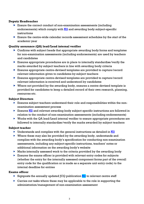#### **Deputy Headteacher**

- **Ensure the correct conduct of non-examination assessments (including** endorsements) which comply with  $NEL$  and awarding body subject-specific instructions
- **Ensure the centre-wide calendar records assessment schedules by the start of the** academic year

#### **Quality assurance (QA) lead/Lead internal verifier**

- Confirms with subject heads that appropriate awarding body forms and templates for non-examination assessments (including endorsements) are used by teachers and candidates
- **Ensures appropriate procedures are in place to internally standardise/verify the** marks awarded by subject teachers in line with awarding body criteria
- Ensures appropriate centre-devised templates are provided to capture/record relevant information given to candidates by subject teachers
- Ensures appropriate centre-devised templates are provided to capture/record relevant information is received and understood by candidates
- Where not provided by the awarding body, ensures a centre-devised template is provided for candidates to keep a detailed record of their own research, planning, resources etc.

#### **Subject Directors**

- Ensures subject teachers understand their role and responsibilities within the nonexamination assessment process
- **Ensures NEA** and relevant awarding body subject specific instructions are followed in relation to the conduct of non-examination assessments (including endorsements)
- Works with the QA lead/Lead internal verifier to ensure appropriate procedures are followed to internally standardise/verify the marks awarded by subject teachers

#### **Subject teacher**

- $\triangleright$  Understands and complies with the general instructions as detailed in NEA
- Where these may also be provided by the awarding body, understands and complies with the awarding body's specification for conducting non-examination assessments, including any subject-specific instructions, teachers' notes or additional information on the awarding body's website
- Marks internally assessed work to the criteria provided by the awarding body
- **Ensures the exams officer is provided with relevant entry codes for subjects** (whether the entry for the internally assessed component forms part of the overall entry code for the qualification or is made as a separate unit entry code) to the internal deadline for entries

#### **Exams officer**

- $\triangleright$  Signposts the annually updated JCQ publication  $N_{\rm BL}$  to relevant centre staff
- ▶ Carries out tasks where these may be applicable to the role in supporting the administration/management of non-examination assessment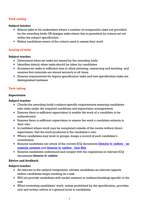#### **Task setting**

#### **Subject teacher**

- $\triangleright$  Selects tasks to be undertaken where a number of comparable tasks are provided by the awarding body OR designs tasks where this is permitted by criteria set out within the subject specification
- $\triangleright$  Makes candidates aware of the criteria used to assess their work

#### **Issuing of tasks**

#### **Subject teacher**

- Determines when set tasks are issued by the awarding body
- $\blacktriangleright$  Identifies date(s) when tasks should be taken by candidates
- Accesses set tasks in sufficient time to allow planning, resourcing and teaching and ensures that materials are stored securely at all times
- Ensures requirements for legacy specification tasks and new specification tasks are distinguished between

#### **Task taking**

#### **Supervision**

#### **Subject teacher**

- $\triangleright$  Checks the awarding body's subject-specific requirements ensuring candidates take tasks under the required conditions and supervision arrangements
- **Ensures there is sufficient supervision to enable the work of a candidate to be** authenticated
- $\triangleright$  Ensures there is sufficient supervision to ensure the work a candidate submits is their own
- $\triangleright$  Is confident where work may be completed outside of the centre without direct supervision, that the work produced is the candidate's own.
- Where candidates may work in groups, keeps a record of each candidate's contribution
- Ensures candidates are aware of the current JCQ documents Information for candidates nonexamination assessments and Information for candidates - Social Media
- Ensures candidates understand and comply with the regulations in relevant JCQ documents Information for candidates

#### **Advice and feedback**

- As relevant to the subject/component, advises candidates on relevant aspects before candidates begin working on a task
- Will not provide candidates with model answers or outlines/headings specific to the task
- When reviewing candidates' work, unless prohibited by the specification, provides oral and written advice at a general level to candidates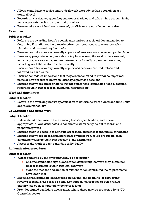- Allows candidates to revise and re-draft work after advice has been given at a general level
- Records any assistance given beyond general advice and takes it into account in the marking or submits it to the external examiner
- Ensures when work has been assessed, candidates are not allowed to revise it

## **Resources**

## **Subject teacher**

- Refers to the awarding body's specification and/or associated documentation to determine if candidates have restricted/unrestricted access to resources when planning and researching their tasks
- Ensures conditions for any formally supervised sessions are known and put in place
- Ensures appropriate arrangements are in place to keep the work to be assessed, and any preparatory work, secure between any formally supervised sessions, including work that is stored electronically
- **Ensures conditions for any formally supervised sessions are understood and** followed by candidates
- Ensures candidates understand that they are not allowed to introduce improved notes or new resources between formally supervised sessions
- **Ensures that where appropriate to include references, candidates keep a detailed** record of their own research, planning, resources etc.

## **Word and time limits**

## **Subject teacher**

 $\triangleright$  Refers to the awarding body's specification to determine where word and time limits apply/are mandatory

## **Collaboration and group work**

## **Subject teacher**

- $\blacktriangleright$  Unless stated otherwise in the awarding body's specification, and where appropriate, allows candidates to collaborate when carrying out research and preparatory work
- $\triangleright$  Ensures that it is possible to attribute assessable outcomes to individual candidates
- **Ensures that where an assignment requires written work to be produced, each** candidate writes up their own account of the assignment
- $\triangleright$  Assesses the work of each candidate individually

## **Authentication procedures**

- ▶ Where required by the awarding body's specification
	- ensures candidates sign a declaration confirming the work they submit for final assessment is their own unaided work
	- signs the teacher declaration of authentication confirming the requirements have been met
- $\triangleright$  Keeps signed candidate declarations on file until the deadline for requesting reviews of results has passed or until any appeal, malpractice or other results enquiry has been completed, whichever is later
- Provides signed candidate declarations where these may be requested by a  $ICQ$ Centre Inspector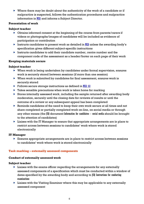$\triangleright$  Where there may be doubt about the authenticity of the work of a candidate or if malpractice is suspected, follows the authentication procedures and malpractice information in NEA and informs a Subject Director.

#### **Presentation of work**

#### **Subject teacher**

- Obtains informed consent at the beginning of the course from parents/carers if videos or photographs/images of candidates will be included as evidence of participation or contribution
- Instructs candidates to present work as detailed in  $N<sub>E</sub>$  unless the awarding body's specification gives different subject-specific instructions
- Instructs candidates to add their candidate number, centre number and the component code of the assessment as a header/footer on each page of their work

## **Keeping materials secure**

## **Subject teacher**

- $\triangleright$  When work is being undertaken by candidates under formal supervision, ensures work is securely stored between sessions (if more than one session)
- $\triangleright$  When work is submitted by candidates for final assessment, ensures work is securely stored
- $\triangleright$  Follows secure storage instructions as defined in NEA 4.8
- $\triangleright$  Takes sensible precautions when work is taken home for marking
- $\triangleright$  Stores internally assessed work, including the sample returned after awarding body moderation, securely until the closing date for reviews of results or until the outcome of a review or any subsequent appeal has been completed
- $\triangleright$  Reminds candidates of the need to keep their own work secure at all times and not share completed or partially completed work on-line, on social media or through any other means (the JCQ document Information for candidates – social media should be brought to the attention of candidates)
- $\triangleright$  Liaises with the IT Manager to ensure that appropriate arrangements are in place to restrict access between sessions to candidates' work where work is stored electronically

## **IT Manager**

 Ensures appropriate arrangements are in place to restrict access between sessions to candidates' work where work is stored electronically

## **Task marking – externally assessed components**

## **Conduct of externally assessed work**

- $\triangleright$  Liaises with the exams officer regarding the arrangements for any externally assessed components of a specification which must be conducted within a window of dates specified by the awarding body and according to JCQ Instructions for conducting examinations
- $\triangleright$  Liaises with the Visiting Examiner where this may be applicable to any externally assessed component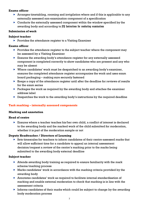- Arranges timetabling, rooming and invigilation where and if this is applicable to any externally assessed non-examination component of a specification
- Conducts the externally assessed component within the window specified by the awarding body and according to JCQ Instructions for conducting examinations

#### **Submission of work**

#### **Subject teacher**

 $\triangleright$  Provides the attendance register to a Visiting Examiner

#### **Exams officer**

- $\triangleright$  Provides the attendance register to the subject teacher where the component may be assessed by a Visiting Examiner
- **Ensures the awarding body's attendance register for any externally assessed** component is completed correctly to show candidates who are present and any who may be absent
- Where candidates' work must be despatched to an awarding body's examiner, ensures the completed attendance register accompanies the work and uses exam board packaging – making sure securely fastened
- $\triangleright$  Keeps a copy of the attendance register until after the deadline for reviews of results for the exam series
- $\triangleright$  Packages the work as required by the awarding body and attaches the examiner address label
- Despatches the work to the awarding body's instructions by the required deadline

## **Task marking – internally assessed components**

#### **Marking and annotation**

## **Head of centre**

 Ensures where a teacher teaches his/her own child, a conflict of interest is declared to the awarding body and the marked work of the child submitted for moderation, whether it is part of the moderation sample or not

## **Deputy Headteacher / Directors of Learning**

 Sets timescales for teachers to inform candidates of their centre-assessed marks that will allow sufficient time for a candidate to appeal an internal assessment decision/request a review of the centre's marking prior to the marks being submitted to the awarding body external deadline

- $\blacktriangleright$  Attends awarding body training as required to ensure familiarity with the mark scheme/marking process
- Marks candidates' work in accordance with the marking criteria provided by the awarding body
- Annotates candidates' work as required to facilitate internal standardisation of marking and enable external moderation to check that marking is in line with the assessment criteria
- $\triangleright$  Informs candidates of their marks which could be subject to change by the awarding body moderation process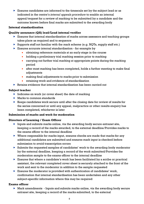Ensures candidates are informed to the timescale set by the subject lead or as indicated in the centre's *internal appeals procedure* to enable an internal appeal/request for a review of marking to be submitted by a candidate and the outcome known before final marks are submitted to the awarding body

## **Internal standardisation**

## **Quality assurance (QA) lead/Lead internal verifier**

- Ensures that internal standardisation of marks across assessors and teaching groups takes place as required and to sequence
- $\triangleright$  Supports staff not familiar with the mark scheme (e.g. NQTs, supply staff etc.)
- Ensures accurate internal standardisation for example by
	- obtaining reference materials at an early stage in the course
	- holding a preliminary trial marking session prior to marking
	- carrying out further trial marking at appropriate points during the marking period
	- after most marking has been completed, holds a further meeting to make final adjustments
	- making final adjustments to marks prior to submission
	- retaining work and evidence of standardisation
- Retains evidence that internal standardisation has been carried out

## **Subject teacher**

- Indicates on work (or cover sheet) the date of marking
- **Marks to common standards**
- Keeps candidates work secure until after the closing date for review of results for the series concerned or until any appeal, malpractice or other results enquiry has been completed, whichever is later

## **Submission of marks and work for moderation**

## **Directors of Learning / Exam Officer**

- Inputs and submits marks online, via the awarding body secure extranet site, keeping a record of the marks awarded, to the external deadline/Provides marks to the exams officer to the internal deadline
- $\triangleright$  Where responsible for marks input, ensures checks are made that marks for any additional candidates are submitted and ensures mark input is checked before submission to avoid transcription errors
- Submits the requested samples of candidates' work to the awarding body moderator by the external deadline, keeping a record of the work submitted/Provides the moderation sample to the exams officer to the internal deadline
- Ensures that where a candidate's work has been facilitated by a scribe or practical assistant, the relevant completed cover sheet is securely attached to the front of the work and sent to the moderator in addition to the sample requested
- $\blacktriangleright$  Ensures the moderator is provided with authentication of candidates' work, confirmation that internal standardisation has been undertaken and any other subject-specific information where this may be required

## **Exams officer**

 Mark amendments - Inputs and submits marks online, via the awarding body secure extranet site, keeping a record of the marks submitted, to the external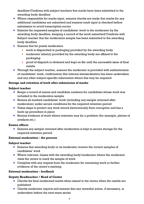deadline/Confirms with subject teachers that marks have been submitted to the awarding body deadline

- $\triangleright$  Where responsible for marks input, ensures checks are made that marks for any additional candidates are submitted and ensures mark input is checked before submission to avoid transcription errors
- $\triangleright$  Submits the requested samples of candidates' work to the moderator by the awarding body deadline, keeping a record of the work submitted/Confirms with Subject teacher that the moderation sample has been submitted to the awarding body deadline
- **Ensures that for postal moderation** 
	- work is dispatched in packaging provided by the awarding body
	- moderator label(s) provided by the awarding body are affixed to the packaging
	- proof of dispatch is obtained and kept on file until the successful issue of final results
- $\blacktriangleright$  Through the subject teacher, ensures the moderator is provided with authentication of candidates' work, confirmation that internal standardisation has been undertaken and any other subject-specific information where this may be required

## **Storage and retention of work after submission of marks**

## **Subject teacher**

- $\blacktriangleright$  Keeps a record of names and candidate numbers for candidates whose work was included in the moderation sample
- Retains all marked candidates' work (including any sample returned after moderation) under secure conditions for the required retention period
- **Takes steps to protect any work stored electronically from corruption and has a** back-up procedure in place
- Retains evidence of work where retention may be a problem (for example, photos of artefacts etc.)

## **Exams officer**

 Ensures any sample returned after moderation is kept in secure storage for the required retention period.

## **External moderation – the process**

## **Subject teacher**

- **Ensures that awarding body or its moderator receive the correct samples of** candidates' work
- Where relevant, liaises with the awarding body/moderator where the moderator visits the centre to mark the sample of work
- ▶ Complies with any request from the moderator for remaining work or further evidence of the centre's marking

## **External moderation – feedback**

## **Deputy Headteacher / Head of Centre**

- $\triangleright$  Checks the final moderated marks when issued to the centre when the results are published
- Checks moderator reports and ensures that any remedial action, if necessary, is undertaken before the next exam series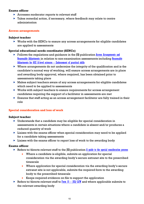- $\triangleright$  Accesses moderator reports to relevant staff
- **Takes remedial action, if necessary, where feedback may relate to centre** administration

#### **Access arrangements**

#### **Subject teacher**

 Works with the SENCo to ensure any access arrangements for eligible candidates are applied to assessments

## **Special educational needs coordinator (SENCo)**

- $\triangleright$  Follows the regulations and guidance in the  $|CQ|$  publication Access Arrangements and Reasonable Adjustments in relation to non-examination assessments including Reasonable Adjustments for GCE A-level sciences – Endorsement of practical skills
- $\triangleright$  Where arrangements do not undermine the integrity of the qualification and is the candidate's normal way of working, will ensure access arrangements are in place and awarding body approval, where required, has been obtained prior to assessments taking place
- $\blacktriangleright$  Makes subject teachers aware of any access arrangements for eligible candidates which need to be applied to assessments
- ▶ Works with subject teachers to ensure requirements for access arrangement candidates requiring the support of a facilitator in assessments are met
- Ensures that staff acting as an access arrangement facilitator are fully trained in their role

## **Special consideration and loss of work**

## **Subject teacher**

- Understands that a candidate may be eligible for special consideration in assessments in certain situations where a candidate is absent and/or produces a reduced quantity of work
- $\triangleright$  Liaises with the exams officer when special consideration may need to be applied for a candidate taking assessments
- $\triangleright$  Liaises with the exams officer to report loss of work to the awarding body

#### **Exams officer**

- Refers to/directs relevant staff to the  $|CQ|$  publication  $\overline{A}$  quide to the special consideration process
	- Where a candidate is eligible, submits an application for special consideration via the awarding body's secure extranet site to the prescribed timescale
	- Where application for special consideration via the awarding body's secure extranet site is not applicable, submits the required form to the awarding body to the prescribed timescale
	- Keeps required evidence on file to support the application
- Refers to/directs relevant staff to  $\frac{\Gamma_{\text{O}}}{\Gamma_{\text{O}}}$  =  $\frac{\Gamma_{\text{O}}}{\Gamma_{\text{O}}}$  and where applicable submits to the relevant awarding body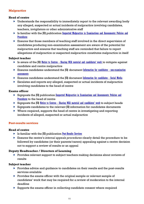## **Malpractice**

#### **Head of centre**

- Understands the responsibility to immediately report to the relevant awarding body any alleged, suspected or actual incidents of malpractice involving candidates, teachers, invigilators or other administrative staff
- **IS familiar with the JCQ publication Suspected Malpractice in Examinations and Assessments: Policies and** Procedures
- Ensures that those members of teaching staff involved in the direct supervision of candidates producing non-examination assessment are aware of the potential for malpractice and ensures that teaching staff are reminded that failure to report allegations of malpractice or suspected malpractice constitutes malpractice in itself

#### **Subject teacher**

- $\triangleright$  Is aware of the  $\lfloor \text{CQ} \rfloor$  Notice to Centres Sharing NEA material and candidates' work to mitigate against candidate and centre malpractice
- **Ensures candidates understand the JCQ document Information for candidates non-examination** assessments
- **Ensures candidates understand the JCQ document Information for candidates Social Media**
- Escalates and reports any alleged, suspected or actual incidents of malpractice involving candidates to the head of centre

#### **Exams officer**

- Signposts the JCQ publication Suspected Malpractice in Examinations and Assessments: Policies and Procedures to the head of centre
- Signposts the JCQ Notice to Centres Sharing NEA material and candidates' work to subject heads
- $\triangleright$  Signposts candidates to the relevant  $\lfloor \mathfrak{l} \mathfrak{l} \rfloor$  information for candidates documents
- Where required, supports the head of centre in investigating and reporting incidents of alleged, suspected or actual malpractice

## **Post-results services**

#### **Head of centre**

- $\triangleright$  Is familiar with the  $JQ$  publication Post-Results Services
- Ensures the centre's *internal appeals procedures* clearly detail the procedure to be followed by candidates (or their parents/carers) appealing against a centre decision not to support a review of results or an appeal

## **Deputy Headteacher / Directors of Learning**

Provides relevant support to subject teachers making decisions about reviews of results

- Provides advice and quidance to candidates on their results and the post-results services available
- $\triangleright$  Provides the exams officer with the original sample or relevant sample of candidates' work that may be required for a review of moderation to the internal deadline
- $\triangleright$  Supports the exams officer in collecting candidate consent where required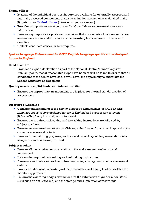- $\blacktriangleright$  Is aware of the individual post-results services available for externally assessed and internally assessed components of non-examination assessments as detailed in the JCQ publication **Post-Results Services** (Information and guidance to centres...)
- Provides/signposts relevant centre staff and candidates to post-results services information
- Ensures any requests for post-results services that are available to non-examination assessments are submitted online via the awarding body secure extranet site to deadline
- $\blacktriangleright$  Collects candidate consent where required

## **Spoken Language Endorsement for GCSE English Language specifications designed for use in England**

#### **Head of centre**

**Provides a signed declaration as part of the National Centre Number Register** Annual Update, that all reasonable steps have been or will be taken to ensure that all candidates at the centre have had, or will have, the opportunity to undertake the Spoken Language endorsement

#### **Quality assurance (QA) lead/Lead internal verifier**

- Ensures the appropriate arrangements are in place for internal standardisation of assessments
- $\blacktriangleright$

#### **Directors of Learning**

- Confirms understanding of the *Spoken Language Endorsement for GCSE English Language specifications designed for use in England* and ensures any relevant JCQ/awarding body instructions are followed
- **Ensures the required task setting and task taking instructions are followed by** subject teachers
- **Ensures subject teachers assess candidates, either live or from recordings, using the** common assessment criteria
- Ensures for monitoring purposes, audio-visual recordings of the presentations of a sample of candidates are provided

- **Ensures all the requirements in relation to the endorsement are known and** understood
- $\triangleright$  Follows the required task setting and task taking instructions
- Assesses candidates, either live or from recordings, using the common assessment criteria
- $\triangleright$  Provides audio-visual recordings of the presentations of a sample of candidates for monitoring purposes
- Follows the awarding body's instructions for the submission of grades (*Pass, Merit, Distinction* or *Not Classified*) and the storage and submission of recordings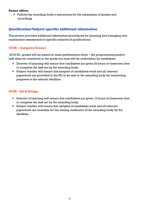$\triangleright$  Follows the awarding body's instructions for the submission of grades and recordings

## **Qualification/Subject specific additional information**

This section provides additional information/procedures for planning and managing nonexamination assessments in specific subjects of qualifications.

#### **GCSE – Computer Science**

2019/20, grades will be based on exam performance alone – the programming project task does not contribute to the grade but must still be undertaken by candidates.

- Director of Learning will ensure that candidates are given 20 hours of classroom time to complete the task set by the awarding body.
- Subject teacher will ensure that samples of candidates work and all relevant paperwork are provided to the EO to be sent to the awarding body for monitoring purposes to the internal deadline.

## **GCSE – Art & Design**

- $\triangleright$  Director of Learning will ensure that candidates are given 10 hours of classroom time to complete the task set by the awarding body.
- Subject teacher will ensure that samples of candidates work and all relevant paperwork are available for the visiting moderator of the awarding body by the deadline.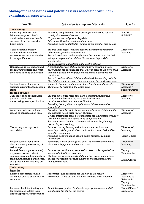## **Management of issues and potential risks associated with nonexamination assessments**

| Issue/Risk                                                                                                                                                                    | Centre actions to manage issue/mitigate risk                                                                                                                                                                                                                                                                                                           | <b>Action</b> by                                                   |
|-------------------------------------------------------------------------------------------------------------------------------------------------------------------------------|--------------------------------------------------------------------------------------------------------------------------------------------------------------------------------------------------------------------------------------------------------------------------------------------------------------------------------------------------------|--------------------------------------------------------------------|
| <b>Task setting</b>                                                                                                                                                           |                                                                                                                                                                                                                                                                                                                                                        |                                                                    |
| Awarding body set task: IT<br>failure/corruption of task<br>details where set task details<br>accessed from the awarding<br>body online                                       | Awarding body key date for accessing/downloading set task<br>noted prior to start of course<br>IT systems checked prior to key date<br>Alternative IT system used to gain access<br>Awarding body contacted to request direct email of task details                                                                                                    | EO / IT<br><b>SUPPORT</b>                                          |
| Centre set task: Subject<br>teacher fails to meet the<br>assessment criteria as detailed<br>in the specification                                                              | Ensures that subject teachers access awarding body training<br>information, practice materials etc.<br>Records confirmation that subject teachers understand the task<br>setting arrangements as defined in the awarding body's<br>specification<br>Samples assessment criteria in the centre set task                                                 | Director of<br>Learning                                            |
| Candidates do not understand<br>the marking criteria and what<br>they need to do to gain credit                                                                               | A simplified version of the awarding body's marking criteria<br>described in the specification that is not specific to the work of an<br>individual candidate or group of candidates is produced for<br>candidates<br>Records confirm all candidates understand the marking criteria<br>Candidates confirm/record they understand the marking criteria | Director of<br>Learning                                            |
| Subject teacher long term<br>absence during the task setting<br>stage                                                                                                         | See centre's exam contingency plan - Teaching staff extended<br>absence at key points in the exam cycle                                                                                                                                                                                                                                                | Director of<br>Learning /<br>Senior Director                       |
| <b>Issuing of tasks</b>                                                                                                                                                       |                                                                                                                                                                                                                                                                                                                                                        |                                                                    |
| Task for legacy specification<br>given to candidates<br>undertaking new specification                                                                                         | Ensures subject teachers take care to distinguish between<br>requirements/tasks for legacy specifications and<br>requirements/tasks for new specifications<br>Awarding body guidance sought where this issue remains<br>unresolved                                                                                                                     | Director of<br>Learning                                            |
| Awarding body set task not<br>issued to candidates on time                                                                                                                    | Awarding body key date for accessing set task as detailed in the<br>specification noted prior to start of course<br>Course information issued to candidates contains details when set<br>task will be issued and needs to be completed by<br>Set task accessed well in advance to allow time for planning,<br>resourcing and teaching                  | Director of<br>Learning                                            |
| The wrong task is given to<br>candidates                                                                                                                                      | Ensures course planning and information taken from the<br>awarding body's specification confirms the correct task will be<br><i>issued to candidates</i><br>Awarding body guidance sought where this issue remains<br>unresolved                                                                                                                       | Director of<br>Learning<br>Exam Officer                            |
| Subject teacher long term<br>absence during the issuing of<br>tasks stage                                                                                                     | See centre's exam contingency plan - Teaching staff extended<br>absence at key points in the exam cycle                                                                                                                                                                                                                                                | Director of<br>Learning                                            |
| A candidate (or parent/carer)<br>expresses concern about<br>safequarding, confidentiality or<br>faith in undertaking a task such<br>as a presentation that may be<br>recorded | Ensures the candidate's presentation does not form part of the<br>sample which will be recorded<br>Contacts the awarding body at the earliest opportunity where<br>unable to record the required number of candidates for the<br>monitoring sample                                                                                                     | Deputy<br>Headteacher<br>Exam Officer                              |
| <b>Task taking</b>                                                                                                                                                            |                                                                                                                                                                                                                                                                                                                                                        |                                                                    |
| <b>Supervision</b>                                                                                                                                                            |                                                                                                                                                                                                                                                                                                                                                        |                                                                    |
| Planned assessments clash<br>with other centre or candidate<br>activities                                                                                                     | Assessment plan identified for the start of the course<br>Assessment dates/periods included in centre wide calendar                                                                                                                                                                                                                                    | Director of<br>Learning to<br>liaise with<br>Deputy<br>Headteacher |
| Rooms or facilities inadequate<br>for candidates to take tasks<br>under appropriate supervision                                                                               | Timetabling organised to allocate appropriate rooms and IT<br>facilities for the start of the course                                                                                                                                                                                                                                                   | Exam Officer /<br>Director of                                      |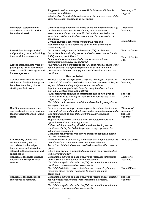|                                                                                                                                                                     | Staggered sessions arranged where IT facilities insufficient for<br>number of candidates<br>Whole cohort to undertake written task in large exam venue at the<br>same time (exam conditions do not apply)                                                                                                                                                                                                                                                                                                                                                                      | Learning / IT<br>support                        |
|---------------------------------------------------------------------------------------------------------------------------------------------------------------------|--------------------------------------------------------------------------------------------------------------------------------------------------------------------------------------------------------------------------------------------------------------------------------------------------------------------------------------------------------------------------------------------------------------------------------------------------------------------------------------------------------------------------------------------------------------------------------|-------------------------------------------------|
| Insufficient supervision of<br>candidates to enable work to<br>be authenticated                                                                                     | Confirm subject teachers are aware of and follow the current JCQ<br>publication Instructions for conducting non-examination<br>assessments and any other specific instructions detailed in the<br>awarding body's specification in relation to the supervision of<br>candidates                                                                                                                                                                                                                                                                                                | Director of<br>Learning                         |
|                                                                                                                                                                     | Confirm subject teachers understand their role and<br>responsibilities as detailed in the centre's non-examination<br>assessment policy                                                                                                                                                                                                                                                                                                                                                                                                                                        | Exam Officer                                    |
| A candidate is suspected of                                                                                                                                         | Instructions and processes in the current JCQ publication                                                                                                                                                                                                                                                                                                                                                                                                                                                                                                                      | <b>Head of Centre</b>                           |
| malpractice prior to submitting<br>their work for assessment                                                                                                        | Instructions for conducting non-examination assessments (section<br>9 Malpractice) are followed<br>An internal investigation and where appropriate internal<br>disciplinary procedures are followed                                                                                                                                                                                                                                                                                                                                                                            | <b>Head of Centre</b><br>$/$ EO                 |
| Access arrangements were not<br>put in place for an assessment<br>where a candidate is approved<br>for arrangements                                                 | Relevant staff are signposted to the JCQ publication A guide to the<br>special consideration process (section 2), to determine the<br>process to be followed to apply for special consideration for the<br>candidate                                                                                                                                                                                                                                                                                                                                                           |                                                 |
|                                                                                                                                                                     | <b>Advice and feedback</b>                                                                                                                                                                                                                                                                                                                                                                                                                                                                                                                                                     |                                                 |
| Candidate claims appropriate<br>advice and feedback not given<br>by subject teacher prior to<br>starting on their work                                              | Ensures a centre-wide process is in place for subject teachers to<br>record all information provided to candidates before work begins<br>as part of the centre's quality assurance procedures<br>Regular monitoring of subject teacher completed records and<br>sign-off to confirm monitoring activity                                                                                                                                                                                                                                                                        | Directors of<br>Learning                        |
|                                                                                                                                                                     | Full records kept detailing all information and advice given to<br>candidates prior to starting on their work as appropriate to the<br>subject and component<br>Candidate confirms/records advice and feedback given prior to                                                                                                                                                                                                                                                                                                                                                  | Subject<br>Teacher                              |
|                                                                                                                                                                     | starting on their work                                                                                                                                                                                                                                                                                                                                                                                                                                                                                                                                                         |                                                 |
| Candidate claims no advice<br>and feedback given by subject<br>teacher during the task-taking<br>stage                                                              | Ensures a centre-wide process is in place for subject teachers to<br>record all advice and feedback provided to candidates during the<br>task-taking stage as part of the centre's quality assurance<br>procedures<br>Regular monitoring of subject teacher completed records and<br>sign-off to confirm monitoring activity<br>Full records kept detailing all advice and feedback given to<br>candidates during the task-taking stage as appropriate to the<br>subject and component<br>Candidate confirms/records advice and feedback given during<br>the task-taking stage | Director of<br>Learning /<br>Subject<br>Teacher |
| A third party claims that<br>assistance was given to<br>candidates by the subject<br>teacher over and above that<br>allowed in the regulations and<br>specification | An investigation is conducted; candidates and subject teacher are<br>interviewed and statements recorded where relevant<br>Records as detailed above are provided to confirm all assistance<br>given<br>Where appropriate, a suspected malpractice report is submitted<br>to the awarding body                                                                                                                                                                                                                                                                                 | <b>Head of Centre</b>                           |
| Candidate does not reference                                                                                                                                        | Candidate is advised at a general level to reference information                                                                                                                                                                                                                                                                                                                                                                                                                                                                                                               | Director of                                     |
| information from published<br>source                                                                                                                                | before work is submitted for formal assessment<br>Candidate is again referred to the JCQ document Information for                                                                                                                                                                                                                                                                                                                                                                                                                                                              | Learning                                        |
|                                                                                                                                                                     | candidates: non-examination assessments<br>Candidate's detailed record of his/her own research, planning,<br>resources etc. is regularly checked to ensure continued<br>completion                                                                                                                                                                                                                                                                                                                                                                                             | Exam Officer                                    |
| Candidate does not set out<br>references as required                                                                                                                | Candidate is advised at a general level to review and re-draft the<br>set out of references before work is submitted for formal<br>assessment<br>Candidate is again referred to the JCQ document Information for                                                                                                                                                                                                                                                                                                                                                               | Subject<br>Teacher                              |
|                                                                                                                                                                     | candidates: non-examination assessments                                                                                                                                                                                                                                                                                                                                                                                                                                                                                                                                        |                                                 |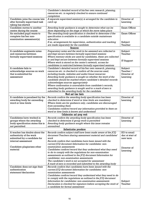| resources etc. is regularly checked to ensure continued<br>completion<br>A separate supervised session(s) is arranged for the candidate to<br>Director of<br>Candidate joins the course late<br>after formally supervised task<br>Learning<br>catch up<br>taking has started<br>Exam Officer<br>Candidate moves to another<br>Awarding body guidance is sought to determine what can be<br>done depending on the stage at which the move takes place<br>centre during the course<br>Exam Officer<br>The awarding body specification is checked to determine if the<br>An excluded pupil wants to<br>complete his/her non-<br>specification is available to a candidate outside mainstream<br>examination assessment(s)<br>education<br>Subject<br>If so, arrangements for supervision, authentication and marking<br>are made separately for the candidate<br>Teacher<br><b>Resources</b><br>Preparatory notes and the work to be assessed are collected in<br>Subject<br>A candidate augments notes<br>and resources between<br>Teacher<br>and kept secure between formally supervised sessions<br>formally supervised sessions<br>Where memory sticks are used by candidates, these are collected<br>in and kept secure between formally supervised sessions<br>IT Support<br>Where work is stored on the centre's network, access for<br>candidates is restricted between formally supervised sessions<br>A candidate fails to<br>Subject<br>Candidate's detailed record of his/her own research, planning,<br>Teacher /<br>acknowledge sources on work<br>resources etc. is checked to confirm all the sources used,<br>that is submitted for<br>Director of<br>including books, websites and audio/visual resources<br>Awarding body guidance is sought on whether the work of the<br>Learning<br>assessment<br>candidate should be marked where candidate's detailed records<br>acknowledges sources appropriately<br>Where confirmation is unavailable from candidate's records,<br>awarding body guidance is sought and/or a mark of zero is<br>submitted to the awarding body for the candidate<br>Word and time limits<br>Director of<br>A candidate is penalised by the<br>Records confirm the awarding body specification has been<br>awarding body for exceeding<br>checked to determine if word or time limits are mandatory<br>Learning<br>word or time limits<br>Where limits are for guidance only, candidates are discouraged<br>from exceeding them<br>Candidates confirm/record any information provided to them on<br>word or time limits is known and understood<br>Collaboration and group work<br>Records confirm the awarding body specification has been<br>Director of<br>Candidates have worked in<br>groups where the awarding<br>checked to determine if group work is permitted<br>Learning<br>body specification states this is<br>Awarding body guidance sought where this issue remains<br>not permitted<br>unresolved<br><b>Authentication procedures</b><br>A teacher has doubts about the<br>Records confirm subject staff have been made aware of the JCQ<br>EO to email<br>document Teachers sharing assessment material and candidates'<br>doc at start of<br>authenticity of the work<br>submitted by a candidate for<br>work<br>new term<br>internal assessment<br>Records confirm that candidates have been issued with the<br>current JCQ document Information for candidates: non-<br>examination assessments<br>Candidate plagiarises other<br>Director of<br>Candidates confirm/record that they understand what they need<br>material<br>Learning<br>to do to comply with the regulations for non-examination<br>assessments as outlined in the JCQ document Information for<br>candidates: non-examination assessments<br>The candidate's work is not accepted for assessment<br>A mark of zero is recorded and submitted to the awarding body<br>Records confirm that candidates have been issued with the<br>Candidate does not sign their<br>authentication<br>current JCQ document Information for candidates: non-<br>statement/declaration<br>examination assessments<br>Candidates confirm/record they understand what they need to do<br>to comply with the regulations as outlined in the JCQ document<br>Information for candidates: non-examination assessments<br>Subject<br>Declaration is checked for signature before accepting the work of<br>Teacher<br>a candidate for formal assessment | Candidate's detailed record of his/her own research, planning, |  |
|-------------------------------------------------------------------------------------------------------------------------------------------------------------------------------------------------------------------------------------------------------------------------------------------------------------------------------------------------------------------------------------------------------------------------------------------------------------------------------------------------------------------------------------------------------------------------------------------------------------------------------------------------------------------------------------------------------------------------------------------------------------------------------------------------------------------------------------------------------------------------------------------------------------------------------------------------------------------------------------------------------------------------------------------------------------------------------------------------------------------------------------------------------------------------------------------------------------------------------------------------------------------------------------------------------------------------------------------------------------------------------------------------------------------------------------------------------------------------------------------------------------------------------------------------------------------------------------------------------------------------------------------------------------------------------------------------------------------------------------------------------------------------------------------------------------------------------------------------------------------------------------------------------------------------------------------------------------------------------------------------------------------------------------------------------------------------------------------------------------------------------------------------------------------------------------------------------------------------------------------------------------------------------------------------------------------------------------------------------------------------------------------------------------------------------------------------------------------------------------------------------------------------------------------------------------------------------------------------------------------------------------------------------------------------------------------------------------------------------------------------------------------------------------------------------------------------------------------------------------------------------------------------------------------------------------------------------------------------------------------------------------------------------------------------------------------------------------------------------------------------------------------------------------------------------------------------------------------------------------------------------------------------------------------------------------------------------------------------------------------------------------------------------------------------------------------------------------------------------------------------------------------------------------------------------------------------------------------------------------------------------------------------------------------------------------------------------------------------------------------------------------------------------------------------------------------------------------------------------------------------------------------------------------------------------------------------------------------------------------------------------------------------------------------------------------------------------------------------------------------------------------------------------------------------------------------------------------------------------------------------------------------------------------------------------------------------------------------------------------------------------------------------------------------------------------------------------------|----------------------------------------------------------------|--|
|                                                                                                                                                                                                                                                                                                                                                                                                                                                                                                                                                                                                                                                                                                                                                                                                                                                                                                                                                                                                                                                                                                                                                                                                                                                                                                                                                                                                                                                                                                                                                                                                                                                                                                                                                                                                                                                                                                                                                                                                                                                                                                                                                                                                                                                                                                                                                                                                                                                                                                                                                                                                                                                                                                                                                                                                                                                                                                                                                                                                                                                                                                                                                                                                                                                                                                                                                                                                                                                                                                                                                                                                                                                                                                                                                                                                                                                                                                                                                                                                                                                                                                                                                                                                                                                                                                                                                                                                                                                             |                                                                |  |
|                                                                                                                                                                                                                                                                                                                                                                                                                                                                                                                                                                                                                                                                                                                                                                                                                                                                                                                                                                                                                                                                                                                                                                                                                                                                                                                                                                                                                                                                                                                                                                                                                                                                                                                                                                                                                                                                                                                                                                                                                                                                                                                                                                                                                                                                                                                                                                                                                                                                                                                                                                                                                                                                                                                                                                                                                                                                                                                                                                                                                                                                                                                                                                                                                                                                                                                                                                                                                                                                                                                                                                                                                                                                                                                                                                                                                                                                                                                                                                                                                                                                                                                                                                                                                                                                                                                                                                                                                                                             |                                                                |  |
|                                                                                                                                                                                                                                                                                                                                                                                                                                                                                                                                                                                                                                                                                                                                                                                                                                                                                                                                                                                                                                                                                                                                                                                                                                                                                                                                                                                                                                                                                                                                                                                                                                                                                                                                                                                                                                                                                                                                                                                                                                                                                                                                                                                                                                                                                                                                                                                                                                                                                                                                                                                                                                                                                                                                                                                                                                                                                                                                                                                                                                                                                                                                                                                                                                                                                                                                                                                                                                                                                                                                                                                                                                                                                                                                                                                                                                                                                                                                                                                                                                                                                                                                                                                                                                                                                                                                                                                                                                                             |                                                                |  |
|                                                                                                                                                                                                                                                                                                                                                                                                                                                                                                                                                                                                                                                                                                                                                                                                                                                                                                                                                                                                                                                                                                                                                                                                                                                                                                                                                                                                                                                                                                                                                                                                                                                                                                                                                                                                                                                                                                                                                                                                                                                                                                                                                                                                                                                                                                                                                                                                                                                                                                                                                                                                                                                                                                                                                                                                                                                                                                                                                                                                                                                                                                                                                                                                                                                                                                                                                                                                                                                                                                                                                                                                                                                                                                                                                                                                                                                                                                                                                                                                                                                                                                                                                                                                                                                                                                                                                                                                                                                             |                                                                |  |
|                                                                                                                                                                                                                                                                                                                                                                                                                                                                                                                                                                                                                                                                                                                                                                                                                                                                                                                                                                                                                                                                                                                                                                                                                                                                                                                                                                                                                                                                                                                                                                                                                                                                                                                                                                                                                                                                                                                                                                                                                                                                                                                                                                                                                                                                                                                                                                                                                                                                                                                                                                                                                                                                                                                                                                                                                                                                                                                                                                                                                                                                                                                                                                                                                                                                                                                                                                                                                                                                                                                                                                                                                                                                                                                                                                                                                                                                                                                                                                                                                                                                                                                                                                                                                                                                                                                                                                                                                                                             |                                                                |  |
|                                                                                                                                                                                                                                                                                                                                                                                                                                                                                                                                                                                                                                                                                                                                                                                                                                                                                                                                                                                                                                                                                                                                                                                                                                                                                                                                                                                                                                                                                                                                                                                                                                                                                                                                                                                                                                                                                                                                                                                                                                                                                                                                                                                                                                                                                                                                                                                                                                                                                                                                                                                                                                                                                                                                                                                                                                                                                                                                                                                                                                                                                                                                                                                                                                                                                                                                                                                                                                                                                                                                                                                                                                                                                                                                                                                                                                                                                                                                                                                                                                                                                                                                                                                                                                                                                                                                                                                                                                                             |                                                                |  |
|                                                                                                                                                                                                                                                                                                                                                                                                                                                                                                                                                                                                                                                                                                                                                                                                                                                                                                                                                                                                                                                                                                                                                                                                                                                                                                                                                                                                                                                                                                                                                                                                                                                                                                                                                                                                                                                                                                                                                                                                                                                                                                                                                                                                                                                                                                                                                                                                                                                                                                                                                                                                                                                                                                                                                                                                                                                                                                                                                                                                                                                                                                                                                                                                                                                                                                                                                                                                                                                                                                                                                                                                                                                                                                                                                                                                                                                                                                                                                                                                                                                                                                                                                                                                                                                                                                                                                                                                                                                             |                                                                |  |
|                                                                                                                                                                                                                                                                                                                                                                                                                                                                                                                                                                                                                                                                                                                                                                                                                                                                                                                                                                                                                                                                                                                                                                                                                                                                                                                                                                                                                                                                                                                                                                                                                                                                                                                                                                                                                                                                                                                                                                                                                                                                                                                                                                                                                                                                                                                                                                                                                                                                                                                                                                                                                                                                                                                                                                                                                                                                                                                                                                                                                                                                                                                                                                                                                                                                                                                                                                                                                                                                                                                                                                                                                                                                                                                                                                                                                                                                                                                                                                                                                                                                                                                                                                                                                                                                                                                                                                                                                                                             |                                                                |  |
|                                                                                                                                                                                                                                                                                                                                                                                                                                                                                                                                                                                                                                                                                                                                                                                                                                                                                                                                                                                                                                                                                                                                                                                                                                                                                                                                                                                                                                                                                                                                                                                                                                                                                                                                                                                                                                                                                                                                                                                                                                                                                                                                                                                                                                                                                                                                                                                                                                                                                                                                                                                                                                                                                                                                                                                                                                                                                                                                                                                                                                                                                                                                                                                                                                                                                                                                                                                                                                                                                                                                                                                                                                                                                                                                                                                                                                                                                                                                                                                                                                                                                                                                                                                                                                                                                                                                                                                                                                                             |                                                                |  |
|                                                                                                                                                                                                                                                                                                                                                                                                                                                                                                                                                                                                                                                                                                                                                                                                                                                                                                                                                                                                                                                                                                                                                                                                                                                                                                                                                                                                                                                                                                                                                                                                                                                                                                                                                                                                                                                                                                                                                                                                                                                                                                                                                                                                                                                                                                                                                                                                                                                                                                                                                                                                                                                                                                                                                                                                                                                                                                                                                                                                                                                                                                                                                                                                                                                                                                                                                                                                                                                                                                                                                                                                                                                                                                                                                                                                                                                                                                                                                                                                                                                                                                                                                                                                                                                                                                                                                                                                                                                             |                                                                |  |
|                                                                                                                                                                                                                                                                                                                                                                                                                                                                                                                                                                                                                                                                                                                                                                                                                                                                                                                                                                                                                                                                                                                                                                                                                                                                                                                                                                                                                                                                                                                                                                                                                                                                                                                                                                                                                                                                                                                                                                                                                                                                                                                                                                                                                                                                                                                                                                                                                                                                                                                                                                                                                                                                                                                                                                                                                                                                                                                                                                                                                                                                                                                                                                                                                                                                                                                                                                                                                                                                                                                                                                                                                                                                                                                                                                                                                                                                                                                                                                                                                                                                                                                                                                                                                                                                                                                                                                                                                                                             |                                                                |  |
|                                                                                                                                                                                                                                                                                                                                                                                                                                                                                                                                                                                                                                                                                                                                                                                                                                                                                                                                                                                                                                                                                                                                                                                                                                                                                                                                                                                                                                                                                                                                                                                                                                                                                                                                                                                                                                                                                                                                                                                                                                                                                                                                                                                                                                                                                                                                                                                                                                                                                                                                                                                                                                                                                                                                                                                                                                                                                                                                                                                                                                                                                                                                                                                                                                                                                                                                                                                                                                                                                                                                                                                                                                                                                                                                                                                                                                                                                                                                                                                                                                                                                                                                                                                                                                                                                                                                                                                                                                                             |                                                                |  |
|                                                                                                                                                                                                                                                                                                                                                                                                                                                                                                                                                                                                                                                                                                                                                                                                                                                                                                                                                                                                                                                                                                                                                                                                                                                                                                                                                                                                                                                                                                                                                                                                                                                                                                                                                                                                                                                                                                                                                                                                                                                                                                                                                                                                                                                                                                                                                                                                                                                                                                                                                                                                                                                                                                                                                                                                                                                                                                                                                                                                                                                                                                                                                                                                                                                                                                                                                                                                                                                                                                                                                                                                                                                                                                                                                                                                                                                                                                                                                                                                                                                                                                                                                                                                                                                                                                                                                                                                                                                             |                                                                |  |
|                                                                                                                                                                                                                                                                                                                                                                                                                                                                                                                                                                                                                                                                                                                                                                                                                                                                                                                                                                                                                                                                                                                                                                                                                                                                                                                                                                                                                                                                                                                                                                                                                                                                                                                                                                                                                                                                                                                                                                                                                                                                                                                                                                                                                                                                                                                                                                                                                                                                                                                                                                                                                                                                                                                                                                                                                                                                                                                                                                                                                                                                                                                                                                                                                                                                                                                                                                                                                                                                                                                                                                                                                                                                                                                                                                                                                                                                                                                                                                                                                                                                                                                                                                                                                                                                                                                                                                                                                                                             |                                                                |  |
|                                                                                                                                                                                                                                                                                                                                                                                                                                                                                                                                                                                                                                                                                                                                                                                                                                                                                                                                                                                                                                                                                                                                                                                                                                                                                                                                                                                                                                                                                                                                                                                                                                                                                                                                                                                                                                                                                                                                                                                                                                                                                                                                                                                                                                                                                                                                                                                                                                                                                                                                                                                                                                                                                                                                                                                                                                                                                                                                                                                                                                                                                                                                                                                                                                                                                                                                                                                                                                                                                                                                                                                                                                                                                                                                                                                                                                                                                                                                                                                                                                                                                                                                                                                                                                                                                                                                                                                                                                                             |                                                                |  |
|                                                                                                                                                                                                                                                                                                                                                                                                                                                                                                                                                                                                                                                                                                                                                                                                                                                                                                                                                                                                                                                                                                                                                                                                                                                                                                                                                                                                                                                                                                                                                                                                                                                                                                                                                                                                                                                                                                                                                                                                                                                                                                                                                                                                                                                                                                                                                                                                                                                                                                                                                                                                                                                                                                                                                                                                                                                                                                                                                                                                                                                                                                                                                                                                                                                                                                                                                                                                                                                                                                                                                                                                                                                                                                                                                                                                                                                                                                                                                                                                                                                                                                                                                                                                                                                                                                                                                                                                                                                             |                                                                |  |
|                                                                                                                                                                                                                                                                                                                                                                                                                                                                                                                                                                                                                                                                                                                                                                                                                                                                                                                                                                                                                                                                                                                                                                                                                                                                                                                                                                                                                                                                                                                                                                                                                                                                                                                                                                                                                                                                                                                                                                                                                                                                                                                                                                                                                                                                                                                                                                                                                                                                                                                                                                                                                                                                                                                                                                                                                                                                                                                                                                                                                                                                                                                                                                                                                                                                                                                                                                                                                                                                                                                                                                                                                                                                                                                                                                                                                                                                                                                                                                                                                                                                                                                                                                                                                                                                                                                                                                                                                                                             |                                                                |  |
|                                                                                                                                                                                                                                                                                                                                                                                                                                                                                                                                                                                                                                                                                                                                                                                                                                                                                                                                                                                                                                                                                                                                                                                                                                                                                                                                                                                                                                                                                                                                                                                                                                                                                                                                                                                                                                                                                                                                                                                                                                                                                                                                                                                                                                                                                                                                                                                                                                                                                                                                                                                                                                                                                                                                                                                                                                                                                                                                                                                                                                                                                                                                                                                                                                                                                                                                                                                                                                                                                                                                                                                                                                                                                                                                                                                                                                                                                                                                                                                                                                                                                                                                                                                                                                                                                                                                                                                                                                                             |                                                                |  |
|                                                                                                                                                                                                                                                                                                                                                                                                                                                                                                                                                                                                                                                                                                                                                                                                                                                                                                                                                                                                                                                                                                                                                                                                                                                                                                                                                                                                                                                                                                                                                                                                                                                                                                                                                                                                                                                                                                                                                                                                                                                                                                                                                                                                                                                                                                                                                                                                                                                                                                                                                                                                                                                                                                                                                                                                                                                                                                                                                                                                                                                                                                                                                                                                                                                                                                                                                                                                                                                                                                                                                                                                                                                                                                                                                                                                                                                                                                                                                                                                                                                                                                                                                                                                                                                                                                                                                                                                                                                             |                                                                |  |
|                                                                                                                                                                                                                                                                                                                                                                                                                                                                                                                                                                                                                                                                                                                                                                                                                                                                                                                                                                                                                                                                                                                                                                                                                                                                                                                                                                                                                                                                                                                                                                                                                                                                                                                                                                                                                                                                                                                                                                                                                                                                                                                                                                                                                                                                                                                                                                                                                                                                                                                                                                                                                                                                                                                                                                                                                                                                                                                                                                                                                                                                                                                                                                                                                                                                                                                                                                                                                                                                                                                                                                                                                                                                                                                                                                                                                                                                                                                                                                                                                                                                                                                                                                                                                                                                                                                                                                                                                                                             |                                                                |  |
|                                                                                                                                                                                                                                                                                                                                                                                                                                                                                                                                                                                                                                                                                                                                                                                                                                                                                                                                                                                                                                                                                                                                                                                                                                                                                                                                                                                                                                                                                                                                                                                                                                                                                                                                                                                                                                                                                                                                                                                                                                                                                                                                                                                                                                                                                                                                                                                                                                                                                                                                                                                                                                                                                                                                                                                                                                                                                                                                                                                                                                                                                                                                                                                                                                                                                                                                                                                                                                                                                                                                                                                                                                                                                                                                                                                                                                                                                                                                                                                                                                                                                                                                                                                                                                                                                                                                                                                                                                                             |                                                                |  |
|                                                                                                                                                                                                                                                                                                                                                                                                                                                                                                                                                                                                                                                                                                                                                                                                                                                                                                                                                                                                                                                                                                                                                                                                                                                                                                                                                                                                                                                                                                                                                                                                                                                                                                                                                                                                                                                                                                                                                                                                                                                                                                                                                                                                                                                                                                                                                                                                                                                                                                                                                                                                                                                                                                                                                                                                                                                                                                                                                                                                                                                                                                                                                                                                                                                                                                                                                                                                                                                                                                                                                                                                                                                                                                                                                                                                                                                                                                                                                                                                                                                                                                                                                                                                                                                                                                                                                                                                                                                             |                                                                |  |
|                                                                                                                                                                                                                                                                                                                                                                                                                                                                                                                                                                                                                                                                                                                                                                                                                                                                                                                                                                                                                                                                                                                                                                                                                                                                                                                                                                                                                                                                                                                                                                                                                                                                                                                                                                                                                                                                                                                                                                                                                                                                                                                                                                                                                                                                                                                                                                                                                                                                                                                                                                                                                                                                                                                                                                                                                                                                                                                                                                                                                                                                                                                                                                                                                                                                                                                                                                                                                                                                                                                                                                                                                                                                                                                                                                                                                                                                                                                                                                                                                                                                                                                                                                                                                                                                                                                                                                                                                                                             |                                                                |  |
|                                                                                                                                                                                                                                                                                                                                                                                                                                                                                                                                                                                                                                                                                                                                                                                                                                                                                                                                                                                                                                                                                                                                                                                                                                                                                                                                                                                                                                                                                                                                                                                                                                                                                                                                                                                                                                                                                                                                                                                                                                                                                                                                                                                                                                                                                                                                                                                                                                                                                                                                                                                                                                                                                                                                                                                                                                                                                                                                                                                                                                                                                                                                                                                                                                                                                                                                                                                                                                                                                                                                                                                                                                                                                                                                                                                                                                                                                                                                                                                                                                                                                                                                                                                                                                                                                                                                                                                                                                                             |                                                                |  |
|                                                                                                                                                                                                                                                                                                                                                                                                                                                                                                                                                                                                                                                                                                                                                                                                                                                                                                                                                                                                                                                                                                                                                                                                                                                                                                                                                                                                                                                                                                                                                                                                                                                                                                                                                                                                                                                                                                                                                                                                                                                                                                                                                                                                                                                                                                                                                                                                                                                                                                                                                                                                                                                                                                                                                                                                                                                                                                                                                                                                                                                                                                                                                                                                                                                                                                                                                                                                                                                                                                                                                                                                                                                                                                                                                                                                                                                                                                                                                                                                                                                                                                                                                                                                                                                                                                                                                                                                                                                             |                                                                |  |
|                                                                                                                                                                                                                                                                                                                                                                                                                                                                                                                                                                                                                                                                                                                                                                                                                                                                                                                                                                                                                                                                                                                                                                                                                                                                                                                                                                                                                                                                                                                                                                                                                                                                                                                                                                                                                                                                                                                                                                                                                                                                                                                                                                                                                                                                                                                                                                                                                                                                                                                                                                                                                                                                                                                                                                                                                                                                                                                                                                                                                                                                                                                                                                                                                                                                                                                                                                                                                                                                                                                                                                                                                                                                                                                                                                                                                                                                                                                                                                                                                                                                                                                                                                                                                                                                                                                                                                                                                                                             |                                                                |  |
|                                                                                                                                                                                                                                                                                                                                                                                                                                                                                                                                                                                                                                                                                                                                                                                                                                                                                                                                                                                                                                                                                                                                                                                                                                                                                                                                                                                                                                                                                                                                                                                                                                                                                                                                                                                                                                                                                                                                                                                                                                                                                                                                                                                                                                                                                                                                                                                                                                                                                                                                                                                                                                                                                                                                                                                                                                                                                                                                                                                                                                                                                                                                                                                                                                                                                                                                                                                                                                                                                                                                                                                                                                                                                                                                                                                                                                                                                                                                                                                                                                                                                                                                                                                                                                                                                                                                                                                                                                                             |                                                                |  |
|                                                                                                                                                                                                                                                                                                                                                                                                                                                                                                                                                                                                                                                                                                                                                                                                                                                                                                                                                                                                                                                                                                                                                                                                                                                                                                                                                                                                                                                                                                                                                                                                                                                                                                                                                                                                                                                                                                                                                                                                                                                                                                                                                                                                                                                                                                                                                                                                                                                                                                                                                                                                                                                                                                                                                                                                                                                                                                                                                                                                                                                                                                                                                                                                                                                                                                                                                                                                                                                                                                                                                                                                                                                                                                                                                                                                                                                                                                                                                                                                                                                                                                                                                                                                                                                                                                                                                                                                                                                             |                                                                |  |
|                                                                                                                                                                                                                                                                                                                                                                                                                                                                                                                                                                                                                                                                                                                                                                                                                                                                                                                                                                                                                                                                                                                                                                                                                                                                                                                                                                                                                                                                                                                                                                                                                                                                                                                                                                                                                                                                                                                                                                                                                                                                                                                                                                                                                                                                                                                                                                                                                                                                                                                                                                                                                                                                                                                                                                                                                                                                                                                                                                                                                                                                                                                                                                                                                                                                                                                                                                                                                                                                                                                                                                                                                                                                                                                                                                                                                                                                                                                                                                                                                                                                                                                                                                                                                                                                                                                                                                                                                                                             |                                                                |  |
|                                                                                                                                                                                                                                                                                                                                                                                                                                                                                                                                                                                                                                                                                                                                                                                                                                                                                                                                                                                                                                                                                                                                                                                                                                                                                                                                                                                                                                                                                                                                                                                                                                                                                                                                                                                                                                                                                                                                                                                                                                                                                                                                                                                                                                                                                                                                                                                                                                                                                                                                                                                                                                                                                                                                                                                                                                                                                                                                                                                                                                                                                                                                                                                                                                                                                                                                                                                                                                                                                                                                                                                                                                                                                                                                                                                                                                                                                                                                                                                                                                                                                                                                                                                                                                                                                                                                                                                                                                                             |                                                                |  |
|                                                                                                                                                                                                                                                                                                                                                                                                                                                                                                                                                                                                                                                                                                                                                                                                                                                                                                                                                                                                                                                                                                                                                                                                                                                                                                                                                                                                                                                                                                                                                                                                                                                                                                                                                                                                                                                                                                                                                                                                                                                                                                                                                                                                                                                                                                                                                                                                                                                                                                                                                                                                                                                                                                                                                                                                                                                                                                                                                                                                                                                                                                                                                                                                                                                                                                                                                                                                                                                                                                                                                                                                                                                                                                                                                                                                                                                                                                                                                                                                                                                                                                                                                                                                                                                                                                                                                                                                                                                             |                                                                |  |
|                                                                                                                                                                                                                                                                                                                                                                                                                                                                                                                                                                                                                                                                                                                                                                                                                                                                                                                                                                                                                                                                                                                                                                                                                                                                                                                                                                                                                                                                                                                                                                                                                                                                                                                                                                                                                                                                                                                                                                                                                                                                                                                                                                                                                                                                                                                                                                                                                                                                                                                                                                                                                                                                                                                                                                                                                                                                                                                                                                                                                                                                                                                                                                                                                                                                                                                                                                                                                                                                                                                                                                                                                                                                                                                                                                                                                                                                                                                                                                                                                                                                                                                                                                                                                                                                                                                                                                                                                                                             |                                                                |  |
|                                                                                                                                                                                                                                                                                                                                                                                                                                                                                                                                                                                                                                                                                                                                                                                                                                                                                                                                                                                                                                                                                                                                                                                                                                                                                                                                                                                                                                                                                                                                                                                                                                                                                                                                                                                                                                                                                                                                                                                                                                                                                                                                                                                                                                                                                                                                                                                                                                                                                                                                                                                                                                                                                                                                                                                                                                                                                                                                                                                                                                                                                                                                                                                                                                                                                                                                                                                                                                                                                                                                                                                                                                                                                                                                                                                                                                                                                                                                                                                                                                                                                                                                                                                                                                                                                                                                                                                                                                                             |                                                                |  |
|                                                                                                                                                                                                                                                                                                                                                                                                                                                                                                                                                                                                                                                                                                                                                                                                                                                                                                                                                                                                                                                                                                                                                                                                                                                                                                                                                                                                                                                                                                                                                                                                                                                                                                                                                                                                                                                                                                                                                                                                                                                                                                                                                                                                                                                                                                                                                                                                                                                                                                                                                                                                                                                                                                                                                                                                                                                                                                                                                                                                                                                                                                                                                                                                                                                                                                                                                                                                                                                                                                                                                                                                                                                                                                                                                                                                                                                                                                                                                                                                                                                                                                                                                                                                                                                                                                                                                                                                                                                             |                                                                |  |
|                                                                                                                                                                                                                                                                                                                                                                                                                                                                                                                                                                                                                                                                                                                                                                                                                                                                                                                                                                                                                                                                                                                                                                                                                                                                                                                                                                                                                                                                                                                                                                                                                                                                                                                                                                                                                                                                                                                                                                                                                                                                                                                                                                                                                                                                                                                                                                                                                                                                                                                                                                                                                                                                                                                                                                                                                                                                                                                                                                                                                                                                                                                                                                                                                                                                                                                                                                                                                                                                                                                                                                                                                                                                                                                                                                                                                                                                                                                                                                                                                                                                                                                                                                                                                                                                                                                                                                                                                                                             |                                                                |  |
|                                                                                                                                                                                                                                                                                                                                                                                                                                                                                                                                                                                                                                                                                                                                                                                                                                                                                                                                                                                                                                                                                                                                                                                                                                                                                                                                                                                                                                                                                                                                                                                                                                                                                                                                                                                                                                                                                                                                                                                                                                                                                                                                                                                                                                                                                                                                                                                                                                                                                                                                                                                                                                                                                                                                                                                                                                                                                                                                                                                                                                                                                                                                                                                                                                                                                                                                                                                                                                                                                                                                                                                                                                                                                                                                                                                                                                                                                                                                                                                                                                                                                                                                                                                                                                                                                                                                                                                                                                                             |                                                                |  |
|                                                                                                                                                                                                                                                                                                                                                                                                                                                                                                                                                                                                                                                                                                                                                                                                                                                                                                                                                                                                                                                                                                                                                                                                                                                                                                                                                                                                                                                                                                                                                                                                                                                                                                                                                                                                                                                                                                                                                                                                                                                                                                                                                                                                                                                                                                                                                                                                                                                                                                                                                                                                                                                                                                                                                                                                                                                                                                                                                                                                                                                                                                                                                                                                                                                                                                                                                                                                                                                                                                                                                                                                                                                                                                                                                                                                                                                                                                                                                                                                                                                                                                                                                                                                                                                                                                                                                                                                                                                             |                                                                |  |
|                                                                                                                                                                                                                                                                                                                                                                                                                                                                                                                                                                                                                                                                                                                                                                                                                                                                                                                                                                                                                                                                                                                                                                                                                                                                                                                                                                                                                                                                                                                                                                                                                                                                                                                                                                                                                                                                                                                                                                                                                                                                                                                                                                                                                                                                                                                                                                                                                                                                                                                                                                                                                                                                                                                                                                                                                                                                                                                                                                                                                                                                                                                                                                                                                                                                                                                                                                                                                                                                                                                                                                                                                                                                                                                                                                                                                                                                                                                                                                                                                                                                                                                                                                                                                                                                                                                                                                                                                                                             |                                                                |  |
|                                                                                                                                                                                                                                                                                                                                                                                                                                                                                                                                                                                                                                                                                                                                                                                                                                                                                                                                                                                                                                                                                                                                                                                                                                                                                                                                                                                                                                                                                                                                                                                                                                                                                                                                                                                                                                                                                                                                                                                                                                                                                                                                                                                                                                                                                                                                                                                                                                                                                                                                                                                                                                                                                                                                                                                                                                                                                                                                                                                                                                                                                                                                                                                                                                                                                                                                                                                                                                                                                                                                                                                                                                                                                                                                                                                                                                                                                                                                                                                                                                                                                                                                                                                                                                                                                                                                                                                                                                                             |                                                                |  |
|                                                                                                                                                                                                                                                                                                                                                                                                                                                                                                                                                                                                                                                                                                                                                                                                                                                                                                                                                                                                                                                                                                                                                                                                                                                                                                                                                                                                                                                                                                                                                                                                                                                                                                                                                                                                                                                                                                                                                                                                                                                                                                                                                                                                                                                                                                                                                                                                                                                                                                                                                                                                                                                                                                                                                                                                                                                                                                                                                                                                                                                                                                                                                                                                                                                                                                                                                                                                                                                                                                                                                                                                                                                                                                                                                                                                                                                                                                                                                                                                                                                                                                                                                                                                                                                                                                                                                                                                                                                             |                                                                |  |
|                                                                                                                                                                                                                                                                                                                                                                                                                                                                                                                                                                                                                                                                                                                                                                                                                                                                                                                                                                                                                                                                                                                                                                                                                                                                                                                                                                                                                                                                                                                                                                                                                                                                                                                                                                                                                                                                                                                                                                                                                                                                                                                                                                                                                                                                                                                                                                                                                                                                                                                                                                                                                                                                                                                                                                                                                                                                                                                                                                                                                                                                                                                                                                                                                                                                                                                                                                                                                                                                                                                                                                                                                                                                                                                                                                                                                                                                                                                                                                                                                                                                                                                                                                                                                                                                                                                                                                                                                                                             |                                                                |  |
|                                                                                                                                                                                                                                                                                                                                                                                                                                                                                                                                                                                                                                                                                                                                                                                                                                                                                                                                                                                                                                                                                                                                                                                                                                                                                                                                                                                                                                                                                                                                                                                                                                                                                                                                                                                                                                                                                                                                                                                                                                                                                                                                                                                                                                                                                                                                                                                                                                                                                                                                                                                                                                                                                                                                                                                                                                                                                                                                                                                                                                                                                                                                                                                                                                                                                                                                                                                                                                                                                                                                                                                                                                                                                                                                                                                                                                                                                                                                                                                                                                                                                                                                                                                                                                                                                                                                                                                                                                                             |                                                                |  |
|                                                                                                                                                                                                                                                                                                                                                                                                                                                                                                                                                                                                                                                                                                                                                                                                                                                                                                                                                                                                                                                                                                                                                                                                                                                                                                                                                                                                                                                                                                                                                                                                                                                                                                                                                                                                                                                                                                                                                                                                                                                                                                                                                                                                                                                                                                                                                                                                                                                                                                                                                                                                                                                                                                                                                                                                                                                                                                                                                                                                                                                                                                                                                                                                                                                                                                                                                                                                                                                                                                                                                                                                                                                                                                                                                                                                                                                                                                                                                                                                                                                                                                                                                                                                                                                                                                                                                                                                                                                             |                                                                |  |
|                                                                                                                                                                                                                                                                                                                                                                                                                                                                                                                                                                                                                                                                                                                                                                                                                                                                                                                                                                                                                                                                                                                                                                                                                                                                                                                                                                                                                                                                                                                                                                                                                                                                                                                                                                                                                                                                                                                                                                                                                                                                                                                                                                                                                                                                                                                                                                                                                                                                                                                                                                                                                                                                                                                                                                                                                                                                                                                                                                                                                                                                                                                                                                                                                                                                                                                                                                                                                                                                                                                                                                                                                                                                                                                                                                                                                                                                                                                                                                                                                                                                                                                                                                                                                                                                                                                                                                                                                                                             |                                                                |  |
|                                                                                                                                                                                                                                                                                                                                                                                                                                                                                                                                                                                                                                                                                                                                                                                                                                                                                                                                                                                                                                                                                                                                                                                                                                                                                                                                                                                                                                                                                                                                                                                                                                                                                                                                                                                                                                                                                                                                                                                                                                                                                                                                                                                                                                                                                                                                                                                                                                                                                                                                                                                                                                                                                                                                                                                                                                                                                                                                                                                                                                                                                                                                                                                                                                                                                                                                                                                                                                                                                                                                                                                                                                                                                                                                                                                                                                                                                                                                                                                                                                                                                                                                                                                                                                                                                                                                                                                                                                                             |                                                                |  |
|                                                                                                                                                                                                                                                                                                                                                                                                                                                                                                                                                                                                                                                                                                                                                                                                                                                                                                                                                                                                                                                                                                                                                                                                                                                                                                                                                                                                                                                                                                                                                                                                                                                                                                                                                                                                                                                                                                                                                                                                                                                                                                                                                                                                                                                                                                                                                                                                                                                                                                                                                                                                                                                                                                                                                                                                                                                                                                                                                                                                                                                                                                                                                                                                                                                                                                                                                                                                                                                                                                                                                                                                                                                                                                                                                                                                                                                                                                                                                                                                                                                                                                                                                                                                                                                                                                                                                                                                                                                             |                                                                |  |
|                                                                                                                                                                                                                                                                                                                                                                                                                                                                                                                                                                                                                                                                                                                                                                                                                                                                                                                                                                                                                                                                                                                                                                                                                                                                                                                                                                                                                                                                                                                                                                                                                                                                                                                                                                                                                                                                                                                                                                                                                                                                                                                                                                                                                                                                                                                                                                                                                                                                                                                                                                                                                                                                                                                                                                                                                                                                                                                                                                                                                                                                                                                                                                                                                                                                                                                                                                                                                                                                                                                                                                                                                                                                                                                                                                                                                                                                                                                                                                                                                                                                                                                                                                                                                                                                                                                                                                                                                                                             |                                                                |  |
|                                                                                                                                                                                                                                                                                                                                                                                                                                                                                                                                                                                                                                                                                                                                                                                                                                                                                                                                                                                                                                                                                                                                                                                                                                                                                                                                                                                                                                                                                                                                                                                                                                                                                                                                                                                                                                                                                                                                                                                                                                                                                                                                                                                                                                                                                                                                                                                                                                                                                                                                                                                                                                                                                                                                                                                                                                                                                                                                                                                                                                                                                                                                                                                                                                                                                                                                                                                                                                                                                                                                                                                                                                                                                                                                                                                                                                                                                                                                                                                                                                                                                                                                                                                                                                                                                                                                                                                                                                                             |                                                                |  |
|                                                                                                                                                                                                                                                                                                                                                                                                                                                                                                                                                                                                                                                                                                                                                                                                                                                                                                                                                                                                                                                                                                                                                                                                                                                                                                                                                                                                                                                                                                                                                                                                                                                                                                                                                                                                                                                                                                                                                                                                                                                                                                                                                                                                                                                                                                                                                                                                                                                                                                                                                                                                                                                                                                                                                                                                                                                                                                                                                                                                                                                                                                                                                                                                                                                                                                                                                                                                                                                                                                                                                                                                                                                                                                                                                                                                                                                                                                                                                                                                                                                                                                                                                                                                                                                                                                                                                                                                                                                             |                                                                |  |
|                                                                                                                                                                                                                                                                                                                                                                                                                                                                                                                                                                                                                                                                                                                                                                                                                                                                                                                                                                                                                                                                                                                                                                                                                                                                                                                                                                                                                                                                                                                                                                                                                                                                                                                                                                                                                                                                                                                                                                                                                                                                                                                                                                                                                                                                                                                                                                                                                                                                                                                                                                                                                                                                                                                                                                                                                                                                                                                                                                                                                                                                                                                                                                                                                                                                                                                                                                                                                                                                                                                                                                                                                                                                                                                                                                                                                                                                                                                                                                                                                                                                                                                                                                                                                                                                                                                                                                                                                                                             |                                                                |  |
|                                                                                                                                                                                                                                                                                                                                                                                                                                                                                                                                                                                                                                                                                                                                                                                                                                                                                                                                                                                                                                                                                                                                                                                                                                                                                                                                                                                                                                                                                                                                                                                                                                                                                                                                                                                                                                                                                                                                                                                                                                                                                                                                                                                                                                                                                                                                                                                                                                                                                                                                                                                                                                                                                                                                                                                                                                                                                                                                                                                                                                                                                                                                                                                                                                                                                                                                                                                                                                                                                                                                                                                                                                                                                                                                                                                                                                                                                                                                                                                                                                                                                                                                                                                                                                                                                                                                                                                                                                                             |                                                                |  |
|                                                                                                                                                                                                                                                                                                                                                                                                                                                                                                                                                                                                                                                                                                                                                                                                                                                                                                                                                                                                                                                                                                                                                                                                                                                                                                                                                                                                                                                                                                                                                                                                                                                                                                                                                                                                                                                                                                                                                                                                                                                                                                                                                                                                                                                                                                                                                                                                                                                                                                                                                                                                                                                                                                                                                                                                                                                                                                                                                                                                                                                                                                                                                                                                                                                                                                                                                                                                                                                                                                                                                                                                                                                                                                                                                                                                                                                                                                                                                                                                                                                                                                                                                                                                                                                                                                                                                                                                                                                             |                                                                |  |
|                                                                                                                                                                                                                                                                                                                                                                                                                                                                                                                                                                                                                                                                                                                                                                                                                                                                                                                                                                                                                                                                                                                                                                                                                                                                                                                                                                                                                                                                                                                                                                                                                                                                                                                                                                                                                                                                                                                                                                                                                                                                                                                                                                                                                                                                                                                                                                                                                                                                                                                                                                                                                                                                                                                                                                                                                                                                                                                                                                                                                                                                                                                                                                                                                                                                                                                                                                                                                                                                                                                                                                                                                                                                                                                                                                                                                                                                                                                                                                                                                                                                                                                                                                                                                                                                                                                                                                                                                                                             |                                                                |  |
|                                                                                                                                                                                                                                                                                                                                                                                                                                                                                                                                                                                                                                                                                                                                                                                                                                                                                                                                                                                                                                                                                                                                                                                                                                                                                                                                                                                                                                                                                                                                                                                                                                                                                                                                                                                                                                                                                                                                                                                                                                                                                                                                                                                                                                                                                                                                                                                                                                                                                                                                                                                                                                                                                                                                                                                                                                                                                                                                                                                                                                                                                                                                                                                                                                                                                                                                                                                                                                                                                                                                                                                                                                                                                                                                                                                                                                                                                                                                                                                                                                                                                                                                                                                                                                                                                                                                                                                                                                                             |                                                                |  |
|                                                                                                                                                                                                                                                                                                                                                                                                                                                                                                                                                                                                                                                                                                                                                                                                                                                                                                                                                                                                                                                                                                                                                                                                                                                                                                                                                                                                                                                                                                                                                                                                                                                                                                                                                                                                                                                                                                                                                                                                                                                                                                                                                                                                                                                                                                                                                                                                                                                                                                                                                                                                                                                                                                                                                                                                                                                                                                                                                                                                                                                                                                                                                                                                                                                                                                                                                                                                                                                                                                                                                                                                                                                                                                                                                                                                                                                                                                                                                                                                                                                                                                                                                                                                                                                                                                                                                                                                                                                             |                                                                |  |
|                                                                                                                                                                                                                                                                                                                                                                                                                                                                                                                                                                                                                                                                                                                                                                                                                                                                                                                                                                                                                                                                                                                                                                                                                                                                                                                                                                                                                                                                                                                                                                                                                                                                                                                                                                                                                                                                                                                                                                                                                                                                                                                                                                                                                                                                                                                                                                                                                                                                                                                                                                                                                                                                                                                                                                                                                                                                                                                                                                                                                                                                                                                                                                                                                                                                                                                                                                                                                                                                                                                                                                                                                                                                                                                                                                                                                                                                                                                                                                                                                                                                                                                                                                                                                                                                                                                                                                                                                                                             |                                                                |  |
|                                                                                                                                                                                                                                                                                                                                                                                                                                                                                                                                                                                                                                                                                                                                                                                                                                                                                                                                                                                                                                                                                                                                                                                                                                                                                                                                                                                                                                                                                                                                                                                                                                                                                                                                                                                                                                                                                                                                                                                                                                                                                                                                                                                                                                                                                                                                                                                                                                                                                                                                                                                                                                                                                                                                                                                                                                                                                                                                                                                                                                                                                                                                                                                                                                                                                                                                                                                                                                                                                                                                                                                                                                                                                                                                                                                                                                                                                                                                                                                                                                                                                                                                                                                                                                                                                                                                                                                                                                                             |                                                                |  |
|                                                                                                                                                                                                                                                                                                                                                                                                                                                                                                                                                                                                                                                                                                                                                                                                                                                                                                                                                                                                                                                                                                                                                                                                                                                                                                                                                                                                                                                                                                                                                                                                                                                                                                                                                                                                                                                                                                                                                                                                                                                                                                                                                                                                                                                                                                                                                                                                                                                                                                                                                                                                                                                                                                                                                                                                                                                                                                                                                                                                                                                                                                                                                                                                                                                                                                                                                                                                                                                                                                                                                                                                                                                                                                                                                                                                                                                                                                                                                                                                                                                                                                                                                                                                                                                                                                                                                                                                                                                             |                                                                |  |
|                                                                                                                                                                                                                                                                                                                                                                                                                                                                                                                                                                                                                                                                                                                                                                                                                                                                                                                                                                                                                                                                                                                                                                                                                                                                                                                                                                                                                                                                                                                                                                                                                                                                                                                                                                                                                                                                                                                                                                                                                                                                                                                                                                                                                                                                                                                                                                                                                                                                                                                                                                                                                                                                                                                                                                                                                                                                                                                                                                                                                                                                                                                                                                                                                                                                                                                                                                                                                                                                                                                                                                                                                                                                                                                                                                                                                                                                                                                                                                                                                                                                                                                                                                                                                                                                                                                                                                                                                                                             |                                                                |  |
|                                                                                                                                                                                                                                                                                                                                                                                                                                                                                                                                                                                                                                                                                                                                                                                                                                                                                                                                                                                                                                                                                                                                                                                                                                                                                                                                                                                                                                                                                                                                                                                                                                                                                                                                                                                                                                                                                                                                                                                                                                                                                                                                                                                                                                                                                                                                                                                                                                                                                                                                                                                                                                                                                                                                                                                                                                                                                                                                                                                                                                                                                                                                                                                                                                                                                                                                                                                                                                                                                                                                                                                                                                                                                                                                                                                                                                                                                                                                                                                                                                                                                                                                                                                                                                                                                                                                                                                                                                                             |                                                                |  |
|                                                                                                                                                                                                                                                                                                                                                                                                                                                                                                                                                                                                                                                                                                                                                                                                                                                                                                                                                                                                                                                                                                                                                                                                                                                                                                                                                                                                                                                                                                                                                                                                                                                                                                                                                                                                                                                                                                                                                                                                                                                                                                                                                                                                                                                                                                                                                                                                                                                                                                                                                                                                                                                                                                                                                                                                                                                                                                                                                                                                                                                                                                                                                                                                                                                                                                                                                                                                                                                                                                                                                                                                                                                                                                                                                                                                                                                                                                                                                                                                                                                                                                                                                                                                                                                                                                                                                                                                                                                             |                                                                |  |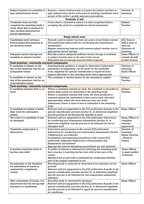| Subject teacher not available to<br>sign authentication forms                                                                                  | Ensures a centre-wide process is in place for subject teachers to<br>sign authentication forms at the point of marking candidates work<br>as part of the centre's quality assurance procedures                                                                                                                                                                                               | Director of<br>Learning                                                        |
|------------------------------------------------------------------------------------------------------------------------------------------------|----------------------------------------------------------------------------------------------------------------------------------------------------------------------------------------------------------------------------------------------------------------------------------------------------------------------------------------------------------------------------------------------|--------------------------------------------------------------------------------|
|                                                                                                                                                | Presentation of work                                                                                                                                                                                                                                                                                                                                                                         |                                                                                |
| Candidate does not fully<br>complete the awarding body's<br>cover sheet that is attached to<br>their worked submitted for<br>formal assessment | Cover sheet is checked to ensure it is fully completed before<br>accepting the work of a candidate for formal assessment                                                                                                                                                                                                                                                                     | Subject<br>Teacher                                                             |
|                                                                                                                                                | Keeping materials secure                                                                                                                                                                                                                                                                                                                                                                     |                                                                                |
| Candidates work between<br>formal supervised sessions is<br>not securely stored                                                                | Records confirm subject teachers are aware of and follow current<br>JCQ publication Instructions for conducting non-examination<br>assessments<br>Regular monitoring/internal audit ensures subject teacher use of<br>appropriate secure storage                                                                                                                                             | <b>JCQ Docs to</b><br>staff at start of<br>term by<br>Directors of<br>Learning |
| Adequate secure storage not<br>available to subject teacher                                                                                    | Records confirm adequate/sufficient secure storage is available<br>to subject teacher prior to the start of the course<br>Alternative secure storage sourced where required                                                                                                                                                                                                                  | Exam Officer to<br>remind all staff<br>at start of term                        |
| Task marking - externally assessed components                                                                                                  |                                                                                                                                                                                                                                                                                                                                                                                              |                                                                                |
| A candidate is absent on the<br>day of the examiner visit for an<br>acceptable reason                                                          | Awarding body guidance is sought to determine if alternative<br>assessment arrangements can be made for the candidate<br>If not, eligibility for special consideration is explored and a<br>request submitted to the awarding body where appropriate                                                                                                                                         | Director of<br>Learning<br><b>Exam Officer</b>                                 |
| A candidate is absent on the<br>day of the examiner visit for an<br>unacceptable reason                                                        | The candidate is marked absent on the attendance register                                                                                                                                                                                                                                                                                                                                    | Subject<br>Teacher                                                             |
| Task marking - internally assessed components                                                                                                  |                                                                                                                                                                                                                                                                                                                                                                                              |                                                                                |
| A candidate submits little or no<br>work                                                                                                       | Where a candidate submits no work, the candidate is recorded as<br>absent when marks are submitted to the awarding body<br>Where a candidate submits little work, the work produced is<br>assessed against the assessment criteria and a mark allocated<br>appropriately; where the work does not meet any of the<br>assessment criteria a mark of zero is submitted to the awarding<br>body | Subject<br>Teacher                                                             |
| A candidate is unable to finish<br>their work for unforeseen<br>reason                                                                         | Relevant staff are signposted to the JCQ publication A guide to the<br>special consideration process (section 5), to determine eligibility<br>and the process to be followed for shortfall in work                                                                                                                                                                                           | Exam Officer                                                                   |
| The work of a candidate is lost<br>or damaged                                                                                                  | Relevant staff are signposted to the JCQ publication Instructions<br>for conducting non-examination assessments (section 8), to<br>determine eligibility and the process to be followed for lost or<br>damaged work                                                                                                                                                                          | Exam Officer to<br>complete<br>relevant<br>paperwork                           |
| Candidate malpractice is<br>discovered                                                                                                         | Instructions and processes in the current JCQ publication<br>Instructions for conducting non-examination assessments (section<br>9 Malpractice) are followed<br>Investigation and reporting procedures in the current JCQ<br>publication Suspected Malpractice in Examinations and<br>Assessments are followed<br>Appropriate internal disciplinary procedures are also followed             | Director of<br>Learning /<br>Senior Director<br>/ Head of<br>Centre            |
| A teacher marks the work of<br>his/her own child                                                                                               | A conflict of interest is declared by informing the awarding body<br>that a teacher is teaching his/her own child at the start of the<br>course<br>Marked work of said child is submitted for moderation whether<br>part of the sample requested or not                                                                                                                                      | Exam Officer<br>to send conflict<br>of interest                                |
| An extension to the deadline<br>for submission of marks is<br>required for a legitimate<br>reason                                              | Awarding body is contacted to determine if an extension can be<br>granted<br>Relevant staff are signposted to the JCQ publication A guide to the<br>special consideration process (section 5), to determine eligibility<br>and the process to be followed for non-examination assessment<br>extension                                                                                        | Exam Officer                                                                   |
| After submission of marks, it is<br>discovered that the wrong task<br>was given to candidates                                                  | Awarding body is contacted for guidance<br>Relevant staff are signposted to the JCQ publication A guide to the<br>special consideration process (section 2), to determine eligibility<br>and the process to be followed to apply for special consideration<br>for candidates                                                                                                                 | Exam Officer                                                                   |